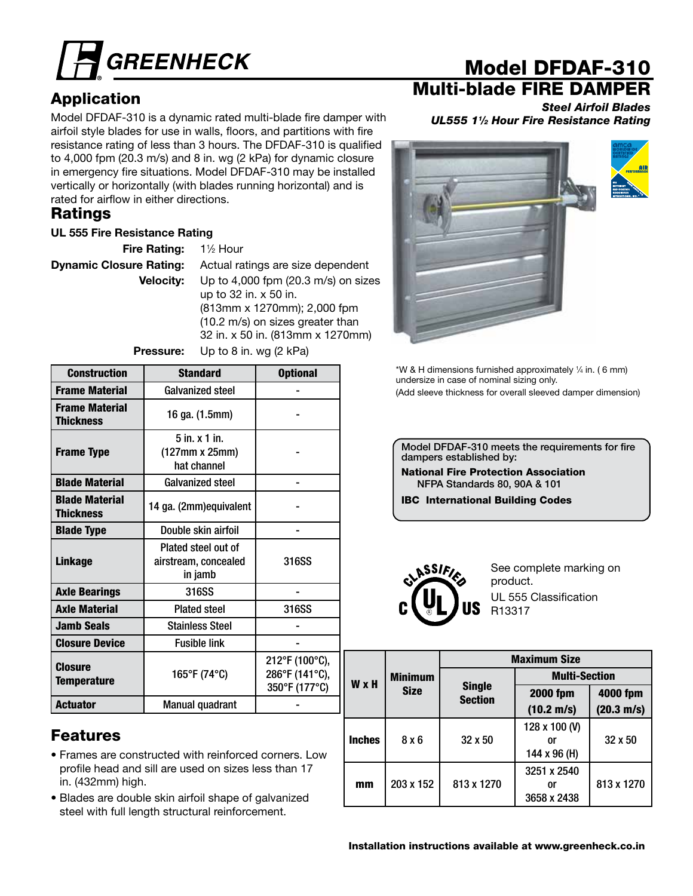

# Application

Model DFDAF-310 is a dynamic rated multi-blade fire damper with airfoil style blades for use in walls, floors, and partitions with fire resistance rating of less than 3 hours. The DFDAF-310 is qualified to 4,000 fpm (20.3 m/s) and 8 in. wg (2 kPa) for dynamic closure in emergency fire situations. Model DFDAF-310 may be installed vertically or horizontally (with blades running horizontal) and is rated for airflow in either directions.

## **Ratings**

### UL 555 Fire Resistance Rating

| $1\frac{1}{2}$ Hour                   |
|---------------------------------------|
| Actual ratings are size dependent     |
| Up to $4,000$ fpm (20.3 m/s) on sizes |
| up to 32 in. x 50 in.                 |
| (813mm x 1270mm); 2,000 fpm           |
| (10.2 m/s) on sizes greater than      |
| 32 in. x 50 in. (813mm x 1270mm)      |
|                                       |

Pressure: Up to 8 in. wg (2 kPa)

Construction Standard I Optional Frame Material Galvanized steel - Frame Material Thickness 16 ga. (1.5mm) -Frame Type 5 in. x 1 in. (127mm x 25mm) hat channel - Blade Material Galvanized steel - Blade Material Blaue material de 14 ga. (2mm)equivalent | Financie -Blade Type **Double skin airfoil** Linkage Plated steel out of airstream, concealed in jamb 316SS Axle Bearings | 316SS | -Axle Material | Plated steel | 316SS Jamb Seals **Stainless** Steel Fig. 5. Closure Device **Reduction** Fusible link **Closure** Temperature 165°F (74°C) 212°F (100°C), 286°F (141°C), 350°F (177°C) Actuator | Manual quadrant

## Features

- Frames are constructed with reinforced corners. Low profile head and sill are used on sizes less than 17 in. (432mm) high.
- Blades are double skin airfoil shape of galvanized steel with full length structural reinforcement.

# Model DFDAF-310

# Multi-blade FIRE DAMPER

*Steel Airfoil Blades UL555 11⁄2 Hour Fire Resistance Rating*



\*W & H dimensions furnished approximately 1 ⁄4 in. ( 6 mm) undersize in case of nominal sizing only. (Add sleeve thickness for overall sleeved damper dimension)

Model DFDAF-310 meets the requirements for fire dampers established by:

National Fire Protection Association NFPA Standards 80, 90A & 101

IBC International Building Codes



See complete marking on product. UL 555 Classification R13317

|               |                | <b>Maximum Size</b>             |                      |                      |  |  |  |  |  |
|---------------|----------------|---------------------------------|----------------------|----------------------|--|--|--|--|--|
| W x H         | <b>Minimum</b> |                                 | <b>Multi-Section</b> |                      |  |  |  |  |  |
|               | <b>Size</b>    | <b>Single</b><br><b>Section</b> | <b>2000 fpm</b>      | 4000 fpm             |  |  |  |  |  |
|               |                |                                 | $(10.2 \text{ m/s})$ | $(20.3 \text{ m/s})$ |  |  |  |  |  |
|               | 8 x 6          |                                 | 128 x 100 (V)        |                      |  |  |  |  |  |
| <b>Inches</b> |                | $32 \times 50$                  | or                   | $32 \times 50$       |  |  |  |  |  |
|               |                |                                 | 144 x 96 (H)         |                      |  |  |  |  |  |
|               |                |                                 | 3251 x 2540          |                      |  |  |  |  |  |
| mm            | 203 x 152      | 813 x 1270                      | or                   | 813 x 1270           |  |  |  |  |  |
|               |                |                                 | 3658 x 2438          |                      |  |  |  |  |  |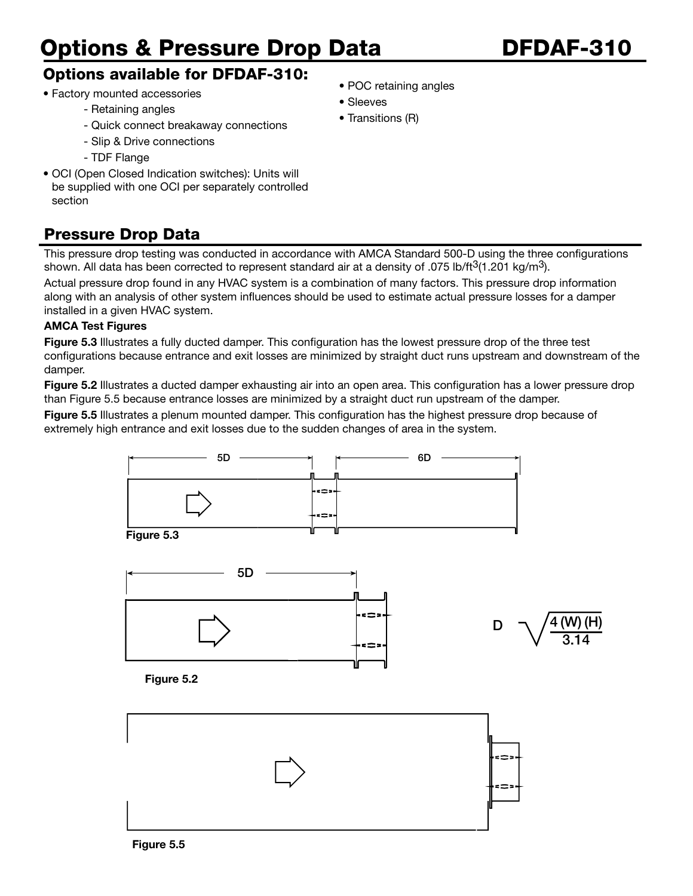# Options & Pressure Drop Data DFDAF-310

## Options available for DFDAF-310:

- Factory mounted accessories
	- Retaining angles
	- Quick connect breakaway connections
	- Slip & Drive connections
	- TDF Flange
- OCI (Open Closed Indication switches): Units will be supplied with one OCI per separately controlled section

## Pressure Drop Data

This pressure drop testing was conducted in accordance with AMCA Standard 500-D using the three configurations shown. All data has been corrected to represent standard air at a density of .075 lb/ft<sup>3</sup>(1.201 kg/m<sup>3</sup>).

Actual pressure drop found in any HVAC system is a combination of many factors. This pressure drop information along with an analysis of other system influences should be used to estimate actual pressure losses for a damper installed in a given HVAC system.

### AMCA Test Figures

Figure 5.3 Illustrates a fully ducted damper. This configuration has the lowest pressure drop of the three test configurations because entrance and exit losses are minimized by straight duct runs upstream and downstream of the damper.

Figure 5.2 Illustrates a ducted damper exhausting air into an open area. This configuration has a lower pressure drop than Figure 5.5 because entrance losses are minimized by a straight duct run upstream of the damper.

Figure 5.5 Illustrates a plenum mounted damper. This configuration has the highest pressure drop because of extremely high entrance and exit losses due to the sudden changes of area in the system.





- POC retaining angles
- Sleeves
- Transitions (R)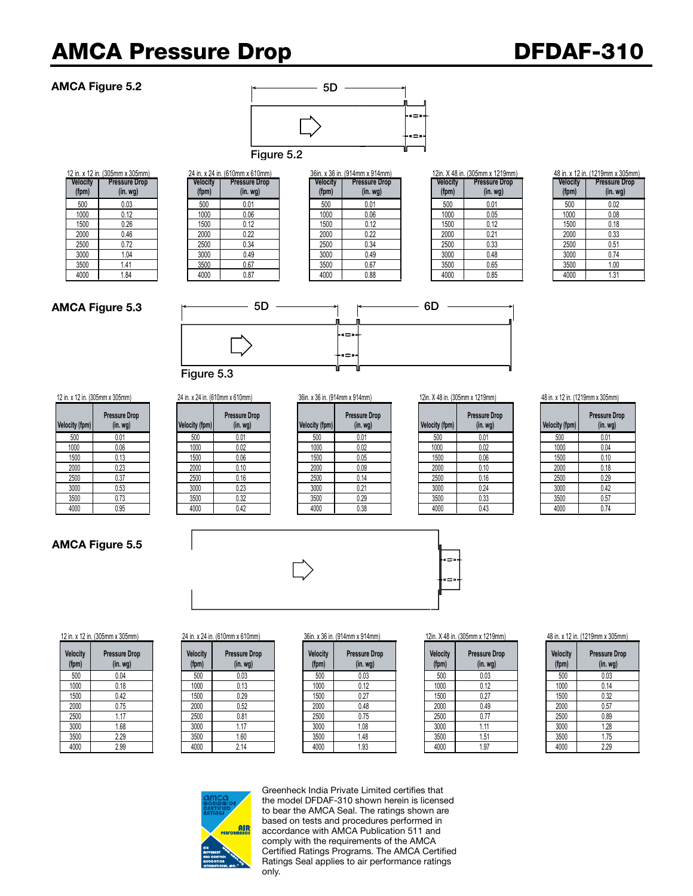# AMCA Pressure Drop DFDAF-310 Figure 5.3

### AMCA Figure 5.2



**Velocity (fpm) Pressure Drop (in. wg)**  12 in. x 12 in. (305mm x 305mm) 24 in. x 24 in. (610mm x 610mm) 36in. x 36 in. (914mm x 914mm) 12in. X 48 in. (305mm x 1219mm) 48 in. x 12 in. (1219mm x 305mm)

|          | l in. x 24 in. (610mm x 610mm) |  |
|----------|--------------------------------|--|
| Velocity | <b>Pressure Drop</b>           |  |
| (fpm)    | $(in.$ wg $)$                  |  |
| 500      | 0.01                           |  |
| 1000     | 0.06                           |  |
| 1500     | 0.12                           |  |
| 2000     | 0.22                           |  |
| 2500     | 0.34                           |  |
| 3000     | 0.49                           |  |
| 3500     | 0.67                           |  |
| 4000     | 0.87                           |  |

|         | $\left  \cdot \right $ , $\left  \cdot \right $ , $\left  \cdot \right $ , $\left  \cdot \right $ , $\left  \cdot \right $ , $\left  \cdot \right $ , $\left  \cdot \right $ , $\left  \cdot \right $ |          | 4 T III. A 4 T III. (V IVIIIIII A V IVIIIIII <i>I</i> |                 | 00111. A 00 111. 10 1 THILLA 0 1 THILLI |          |                      | $T$ $\vee$ $\cdots$ $\vee$ $\cdots$ $\cdots$ $\cdots$ |                 |
|---------|-------------------------------------------------------------------------------------------------------------------------------------------------------------------------------------------------------|----------|-------------------------------------------------------|-----------------|-----------------------------------------|----------|----------------------|-------------------------------------------------------|-----------------|
| elocity | <b>Pressure Drop</b>                                                                                                                                                                                  | Velocity | <b>Pressure Drop</b>                                  | <b>Velocity</b> | <b>Pressure Drop</b>                    | Velocity | <b>Pressure Drop</b> | <b>Velocity</b>                                       | <b>Pressure</b> |
| (fpm)   | (in. <i>wg</i> )                                                                                                                                                                                      | (fpm)    | (in. <i>wg</i> )                                      | (fpm)           | (in. <i>wg</i> )                        | (fpm)    | (in.wg)              | (fpm)                                                 | (in. w          |
| 500     | 0.03                                                                                                                                                                                                  | 500      | 0.01                                                  | 500             | 0.01                                    | 500      | 0.01                 | 500                                                   | 0.02            |
| 1000    | 0.12                                                                                                                                                                                                  | 1000     | 0.06                                                  | 1000            | 0.06                                    | 1000     | 0.05                 | 1000                                                  | 0.08            |
| 1500    | 0.26                                                                                                                                                                                                  | 1500     | 0.12                                                  | 1500            | 0.12                                    | 1500     | 0.12                 | 1500                                                  | 0.18            |
| 2000    | 0.46                                                                                                                                                                                                  | 2000     | 0.22                                                  | 2000            | 0.22                                    | 2000     | 0.21                 | 2000                                                  | 0.33            |
| 2500    | 0.72                                                                                                                                                                                                  | 2500     | 0.34                                                  | 2500            | 0.34                                    | 2500     | 0.33                 | 2500                                                  | 0.51            |
| 3000    | 1.04                                                                                                                                                                                                  | 3000     | 0.49                                                  | 3000            | 0.49                                    | 3000     | 0.48                 | 3000                                                  | 0.74            |
| 3500    | 1.41                                                                                                                                                                                                  | 3500     | 0.67                                                  | 3500            | 0.67                                    | 3500     | 0.65                 | 3500                                                  | 1.00            |
| 4000    | 1.84                                                                                                                                                                                                  | 4000     | 0.87                                                  | 4000            | 0.88                                    | 4000     | 0.85                 | 4000                                                  | 1.31            |
|         |                                                                                                                                                                                                       |          |                                                       |                 |                                         |          |                      |                                                       |                 |

|                 | IZIII. A 40 III. IJUJIIIII X IZ IYIIIIII |
|-----------------|------------------------------------------|
| <b>Velocity</b> | <b>Pressure Drop</b>                     |
| (fpm)           | $(in.$ wg $)$                            |
| 500             | 0.01                                     |
| 1000            | 0.05                                     |
| 1500            | 0.12                                     |
| 2000            | 0.21                                     |
| 2500            | 0.33                                     |
| 3000            | 0.48                                     |
| 3500            | 0.65                                     |
| 4000            | 0.85                                     |

|                   | 48 In. X 12 In. (1219mm x 305mm)      |
|-------------------|---------------------------------------|
| Velocity<br>(fpm) | <b>Pressure Drop</b><br>$(in.$ wg $)$ |
|                   |                                       |
| 500               | 0.02                                  |
| 1000              | 0.08                                  |
| 1500              | 0.18                                  |
| 2000              | 0.33                                  |
| 2500              | 0.51                                  |
| 3000              | 0.74                                  |
| 3500              | 1.00                                  |
| 4000              | 1.31                                  |

### AMCA Figure 5.3



| Velocity (fpm) | <b>Pressure Drop</b><br>(in. <i>wg</i> ) | <b>Velocity (fpm)</b> |
|----------------|------------------------------------------|-----------------------|
| 500            | 0.01                                     | 500                   |
| 1000           | 0.06                                     | 1000                  |
| 1500           | 0.13                                     | 1500                  |
| 2000           | 0.23                                     | 2000                  |
| 2500           | 0.37                                     | 2500                  |
| 3000           | 0.53                                     | 3000                  |
| 3500           | 0.73                                     | 3500                  |
| 4000           | 0.95                                     | 4000                  |

### AMCA Figure 5.5

| 12 in. x 12 in. (305mm x 305mm) |                                 | 24 in. x 24 in. (610mm x 610mm) |                                 |  | 36in. x 36 in. (914mm x 914mm) |                                  | 12in. X 48 in. (305mm x 1219mm) |                |                                 | 48 in. x 12 in. (1219mm x 305mm) |                |                                  |
|---------------------------------|---------------------------------|---------------------------------|---------------------------------|--|--------------------------------|----------------------------------|---------------------------------|----------------|---------------------------------|----------------------------------|----------------|----------------------------------|
| Velocity (fpm)                  | <b>Pressure Drop</b><br>(in.wg) | Velocity (fpm)                  | <b>Pressure Drop</b><br>(in.wg) |  | Velocity (fpm)                 | <b>Pressure Drop</b><br>(in. wg) |                                 | Velocity (fpm) | <b>Pressure Drop</b><br>(in.wq) |                                  | Velocity (fpm) | Pressure Dro<br>(in. <i>wg</i> ) |
| 500                             | 0.01                            | 500                             | 0.01                            |  | 500                            | 0.01                             |                                 | 500            | 0.01                            |                                  | 500            | 0.01                             |
| 1000                            | 0.06                            | 1000                            | 0.02                            |  | 1000                           | 0.02                             |                                 | 1000           | 0.02                            |                                  | 1000           | 0.04                             |
| 1500                            | 0.13                            | 1500                            | 0.06                            |  | 1500                           | 0.05                             |                                 | 1500           | 0.06                            |                                  | 1500           | 0.10                             |
| 2000                            | 0.23                            | 2000                            | 0.10                            |  | 2000                           | 0.09                             |                                 | 2000           | 0.10                            |                                  | 2000           | 0.18                             |
| 2500                            | 0.37                            | 2500                            | 0.16                            |  | 2500                           | 0.14                             |                                 | 2500           | 0.16                            |                                  | 2500           | 0.29                             |
| 3000                            | 0.53                            | 3000                            | 0.23                            |  | 3000                           | 0.21                             |                                 | 3000           | 0.24                            |                                  | 3000           | 0.42                             |
| 3500                            | 0.73                            | 3500                            | 0.32                            |  | 3500                           | 0.29                             |                                 | 3500           | 0.33                            |                                  | 3500           | 0.57                             |
| 4000                            | 0.95                            | 4000                            | 0.42                            |  | 4000                           | 0.38                             |                                 | 4000           | 0.43                            |                                  | 4000           | 0.74                             |
|                                 |                                 |                                 |                                 |  |                                |                                  |                                 |                |                                 |                                  |                |                                  |

| Velocity (fpm) | <b>Pressure Drop</b><br>(in. <i>wg</i> ) | <b>Velocity (fpm)</b> |
|----------------|------------------------------------------|-----------------------|
| 500            | 0.01                                     | 500                   |
| 1000           | 0.02                                     | 1000                  |
| 1500           | 0.05                                     | 1500                  |
| 2000           | 0.09                                     | 2000                  |
| 2500           | 0.14                                     | 2500                  |
| 3000           | 0.21                                     | 3000                  |
| 3500           | 0.29                                     | 3500                  |
| 4000           | 0.38                                     | 4000                  |

| Velocity (fpm) | <b>Pressure Drop</b><br>(in. <i>wg</i> ) | <b>Velocity (fpm)</b> |
|----------------|------------------------------------------|-----------------------|
| 500            | 0.01                                     | 500                   |
| 1000           | 0.02                                     | 1000                  |
| 1500           | 0.06                                     | 1500                  |
| 2000           | 0.10                                     | 2000                  |
| 2500           | 0.16                                     | 2500                  |
| 3000           | 0.24                                     | 3000                  |
| 3500           | 0.33                                     | 3500                  |
| 4000           | 0.43                                     | 4000                  |
|                |                                          |                       |

| <b>Velocity (fpm)</b> | <b>Pressure Drop</b><br>$(in.$ wg $)$ |
|-----------------------|---------------------------------------|
| 500                   | 0.01                                  |
| 1000                  | 0.04                                  |
| 1500                  | 0.10                                  |
| 2000                  | 0.18                                  |
| 2500                  | 0.29                                  |
| 3000                  | 0.42                                  |
| 3500                  | 0.57                                  |
| 4000                  | 0.74                                  |



### 12 in. x 12 in. (305mm x 305mm) 24 in. x 24 in. (610mm x 610mm) 36in. x 36 in. (914mm x 914mm) 12in. X 48 in. (305mm x 1219mm) 48 in. x 12 in. (1219mm x 305mm)

| elocity<br>(fpm) | <b>Pressure Drop</b><br>(in. <i>wg</i> ) | Velocity<br>(fpm) | <b>Pressure Drop</b><br>(in. <i>wg</i> ) | Velocity<br>(fpm) | <b>Pressure Drop</b><br>(in. <i>wg</i> ) | Velocity<br>(fpm) | <b>Pressure Drop</b><br>(in. <i>wg</i> ) | <b>Velocity</b><br>(fpm) | Pressure<br>(in. v) |
|------------------|------------------------------------------|-------------------|------------------------------------------|-------------------|------------------------------------------|-------------------|------------------------------------------|--------------------------|---------------------|
| 500              | 0.04                                     | 500               | 0.03                                     | 500               | 0.03                                     | 500               | 0.03                                     | 500                      | 0.03                |
| 1000             | 0.18                                     | 1000              | 0.13                                     | 1000              | 0.12                                     | 1000              | 0.12                                     | 1000                     | 0.14                |
| 1500             | 0.42                                     | 1500              | 0.29                                     | 1500              | 0.27                                     | 1500              | 0.27                                     | 1500                     | 0.32                |
| 2000             | 0.75                                     | 2000              | 0.52                                     | 2000              | 0.48                                     | 2000              | 0.49                                     | 2000                     | 0.57                |
| 2500             | 1.17                                     | 2500              | 0.81                                     | 2500              | 0.75                                     | 2500              | 0.77                                     | 2500                     | 0.89                |
| 3000             | 1.68                                     | 3000              | 1.17                                     | 3000              | 1.08                                     | 3000              | .11                                      | 3000                     | 1.28                |
| 3500             | 2.29                                     | 3500              | 1.60                                     | 3500              | 1.48                                     | 3500              | 1.51                                     | 3500                     | 1.75                |
| 4000             | 2.99                                     | 4000              | 2.14                                     | 4000              | 1.93                                     | 4000              | 1.97                                     | 4000                     | 2.29                |
|                  |                                          |                   |                                          |                   |                                          |                   |                                          |                          |                     |

| <b>Velocity</b><br>(fpm) | <b>Pressure Drop</b><br>$(in.$ wg $)$ |  |  |
|--------------------------|---------------------------------------|--|--|
| 500                      | 0.03                                  |  |  |
| 1000                     | 0.14                                  |  |  |
| 1500                     | 0.32                                  |  |  |
| 2000                     | 0.57                                  |  |  |
| 2500                     | 0.89                                  |  |  |
| 3000                     | 1.28                                  |  |  |
| 3500                     | 1.75                                  |  |  |
| 4000                     | 2.29                                  |  |  |



Greenheck India Private Limited certifies that the model DFDAF-310 shown herein is licensed to bear the AMCA Seal. The ratings shown are based on tests and procedures performed in accordance with AMCA Publication 511 and comply with the requirements of the AMCA Certified Ratings Programs. The AMCA Certified Ratings Seal applies to air performance ratings only.

| <b>Velocity</b><br>(fpm) | <b>Pressure Drop</b><br>(in. <i>wg</i> ) |  |  |
|--------------------------|------------------------------------------|--|--|
| 500                      | 0.04                                     |  |  |
| 1000                     | 0.18                                     |  |  |
| 1500                     | 0.42                                     |  |  |
| 2000                     | 0.75                                     |  |  |
| 2500                     | 1.17                                     |  |  |
| 3000                     | 1.68                                     |  |  |
| 3500                     | 2.29                                     |  |  |
| 4000                     | 2.99                                     |  |  |

| <b>Velocity</b><br>(fpm) | <b>Pressure Drop</b><br>$(in.$ wg $)$ |
|--------------------------|---------------------------------------|
| 500                      | 0.03                                  |
| 1000                     | 0.12                                  |
| 1500                     | 0.27                                  |
| 2000                     | 0.48                                  |
| 2500                     | 0.75                                  |
| 3000                     | 1.08                                  |
| 3500                     | 1.48                                  |
| 4000                     | 1.93                                  |
|                          |                                       |

| 4000 |  |
|------|--|
|      |  |